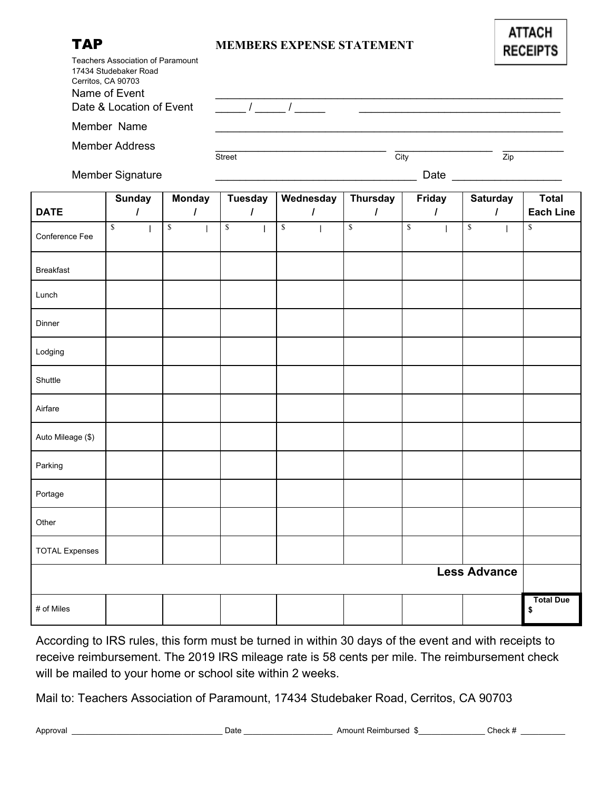## TAP **MEMBERS EXPENSE STATEMENT**

| Teachers Association of Paramount                            |               |      |     |
|--------------------------------------------------------------|---------------|------|-----|
| 17434 Studebaker Road<br>Cerritos, CA 90703<br>Name of Event |               |      |     |
| Date & Location of Event                                     |               |      |     |
|                                                              |               |      |     |
| Member Name                                                  |               |      |     |
|                                                              |               |      |     |
| <b>Member Address</b>                                        |               |      |     |
|                                                              | <b>Street</b> | City | Zip |

Member Signature \_\_\_\_\_\_\_\_\_\_\_\_\_\_\_\_\_\_\_\_\_\_\_\_\_\_\_\_\_\_\_\_\_ Date \_\_\_\_\_\_\_\_\_\_\_\_\_\_\_\_\_\_

|                       | <b>Sunday</b>                          | <b>Monday</b> | <b>Tuesday</b>             | Wednesday      | <b>Thursday</b>      | Friday               | Saturday                      | <b>Total</b>           |
|-----------------------|----------------------------------------|---------------|----------------------------|----------------|----------------------|----------------------|-------------------------------|------------------------|
| <b>DATE</b>           | $\prime$                               | $\prime$      | $\prime$                   | $\overline{I}$ | $\overline{I}$       | $\prime$             | $\overline{I}$                | <b>Each Line</b>       |
| Conference Fee        | $\sqrt{S}$<br>$\overline{\phantom{a}}$ | $\sqrt{\ }$   | $\sqrt{\frac{2}{3}}$<br>J. | $\sqrt{s}$     | $\sqrt{\frac{1}{2}}$ | $\sqrt{\frac{2}{3}}$ | $\sqrt{\ }$<br>$\overline{1}$ | $\sqrt{\frac{2}{n}}$   |
| <b>Breakfast</b>      |                                        |               |                            |                |                      |                      |                               |                        |
| Lunch                 |                                        |               |                            |                |                      |                      |                               |                        |
| Dinner                |                                        |               |                            |                |                      |                      |                               |                        |
| Lodging               |                                        |               |                            |                |                      |                      |                               |                        |
| Shuttle               |                                        |               |                            |                |                      |                      |                               |                        |
| Airfare               |                                        |               |                            |                |                      |                      |                               |                        |
| Auto Mileage (\$)     |                                        |               |                            |                |                      |                      |                               |                        |
| Parking               |                                        |               |                            |                |                      |                      |                               |                        |
| Portage               |                                        |               |                            |                |                      |                      |                               |                        |
| Other                 |                                        |               |                            |                |                      |                      |                               |                        |
| <b>TOTAL Expenses</b> |                                        |               |                            |                |                      |                      |                               |                        |
| <b>Less Advance</b>   |                                        |               |                            |                |                      |                      |                               |                        |
| # of Miles            |                                        |               |                            |                |                      |                      |                               | <b>Total Due</b><br>\$ |

According to IRS rules, this form must be turned in within 30 days of the event and with receipts to receive reimbursement. The 2019 IRS mileage rate is 58 cents per mile. The reimbursement check will be mailed to your home or school site within 2 weeks.

Mail to: Teachers Association of Paramount, 17434 Studebaker Road, Cerritos, CA 90703